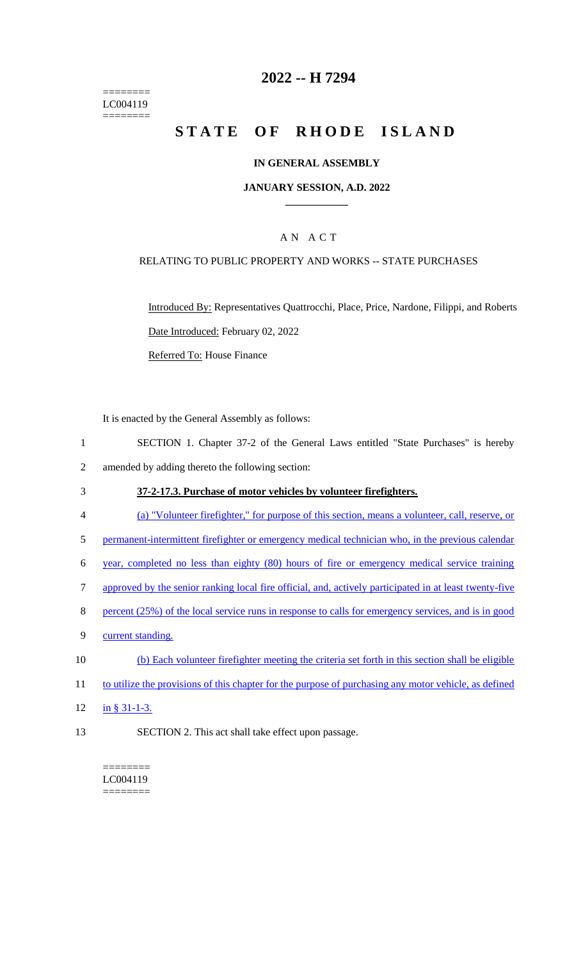======== LC004119 ========

# **2022 -- H 7294**

# **STATE OF RHODE ISLAND**

### **IN GENERAL ASSEMBLY**

### **JANUARY SESSION, A.D. 2022 \_\_\_\_\_\_\_\_\_\_\_\_**

# A N A C T

### RELATING TO PUBLIC PROPERTY AND WORKS -- STATE PURCHASES

Introduced By: Representatives Quattrocchi, Place, Price, Nardone, Filippi, and Roberts Date Introduced: February 02, 2022 Referred To: House Finance

It is enacted by the General Assembly as follows:

- 1 SECTION 1. Chapter 37-2 of the General Laws entitled "State Purchases" is hereby 2 amended by adding thereto the following section:
- 3 **37-2-17.3. Purchase of motor vehicles by volunteer firefighters.**
- 4 (a) "Volunteer firefighter," for purpose of this section, means a volunteer, call, reserve, or
- 5 permanent-intermittent firefighter or emergency medical technician who, in the previous calendar
- 6 year, completed no less than eighty (80) hours of fire or emergency medical service training
- 7 approved by the senior ranking local fire official, and, actively participated in at least twenty-five
- 8 percent (25%) of the local service runs in response to calls for emergency services, and is in good
- 9 current standing.
- 10 (b) Each volunteer firefighter meeting the criteria set forth in this section shall be eligible
- 11 to utilize the provisions of this chapter for the purpose of purchasing any motor vehicle, as defined
- 12 in § 31-1-3.
- 13 SECTION 2. This act shall take effect upon passage.

======== LC004119 ========